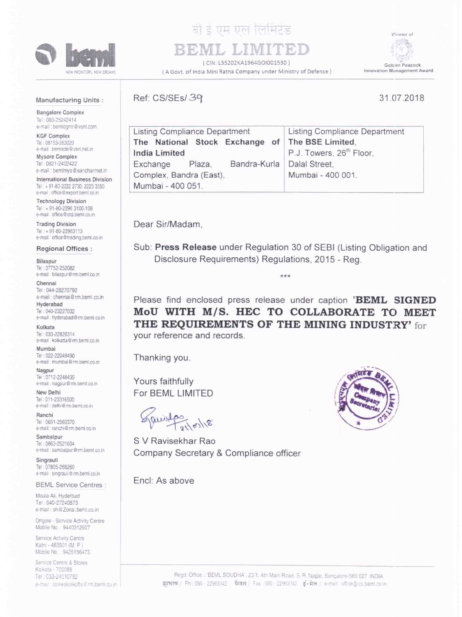

# हो दे एम एल लिमिटेड

(CIN: L35202KA1964GOI001530) ( A Govt. of India Mini Ratna Company under Ministry of Defence)

Winner of ū Golden Peacock Innovation Management Award

#### Manufacturing Units:

e-mail : bemimys@sancharmet.in **International Business Division** Tel: + 91-80-2222 2730, 2223 3350 e-mail : office @ export.beml.co.in **Technology Division** Tel: + 91-80-2296 3100-109 e-mail : office@ctd.beml.co.in

**Bangalore Complex** Tel: 080-25242414 e-mail : bemlogmr@vsnl.com

**KGF Complex** Tel: 08153-263020 e-mail : bemiede@vsnl.net.in Mysore Complex Tel: 0821-2402422

**Trading Division** Tel: + 91-80-22963113 e-mail office@trading.beml.co.in

Bilaspur Tel: 07752-252082 e-mail : bilaspur@rm.beml.co.in

Chennai Tel: 044-28270792 e-mail : chennai@rm.beml.co.in

Hyderabad Tel: 040-23227032

Kolkata Tel: 033-22826314

Mumbai Tel: 022-22049490

Nagpur Tel: 0712-2248435

New Delhi Tel: 011-23316500 e-mail : delhi@rm.beml.co.in

Ranchi Tel: 0651-2560370 e-mail : ranchi@rm.beml.co.in

Sambalpur

Singrauli Tel: 07805-268260 e-mail : singrauli@rm.beml.co.in

Tel: 0663-2521604

Moula Ali, Hyderbad Tel: 040-27240873 e-mail: sh@Zonal.beml.co.in Ongole - Service Activity Centre Mobile No.: 9440312607 Service Activity Centre Katni - 483501 (M. P.) Mobile No.: 9425156473 Service Centre & Stores Kolkata - 700088

Tel: 033-24010782

e-mail: storeskolkotte@rm.beml.co.in

e-mail : sambalpur@rm.beml.co.in

**BEML Service Centres:** 

**Regional Offices:** 

e-mail : hyderabad@rm.beml.co.in

e-mail : kolkatta@rm.beml.co.in

e-mail : mumbai@rm.beml.co.in

e-mail : nagpur@rm.beml.co.in

31.07.2018

| <b>Listing Compliance Department</b>            | <b>Listing Compliance Department</b> |
|-------------------------------------------------|--------------------------------------|
| The National Stock Exchange of The BSE Limited, |                                      |
| <b>India Limited</b>                            | P.J. Towers, 26 <sup>th</sup> Floor, |
| Exchange<br>Plaza,                              | Bandra-Kurla   Dalal Street.         |
| Complex, Bandra (East),                         | Mumbai - 400 001.                    |
| Mumbai - 400 051.                               |                                      |

Dear Sir/Madam.

Ref: CS/SEs/39

Sub: Press Release under Regulation 30 of SEBI (Listing Obligation and Disclosure Requirements) Regulations, 2015 - Reg.

\*\*\*

Please find enclosed press release under caption 'BEML SIGNED MoU WITH M/S. HEC TO COLLABORATE TO MEET THE REQUIREMENTS OF THE MINING INDUSTRY' for your reference and records.

Thanking you.

Yours faithfully For BEML LIMITED

S V Ravisekhar Rao Company Secretary & Compliance officer

Encl: As above

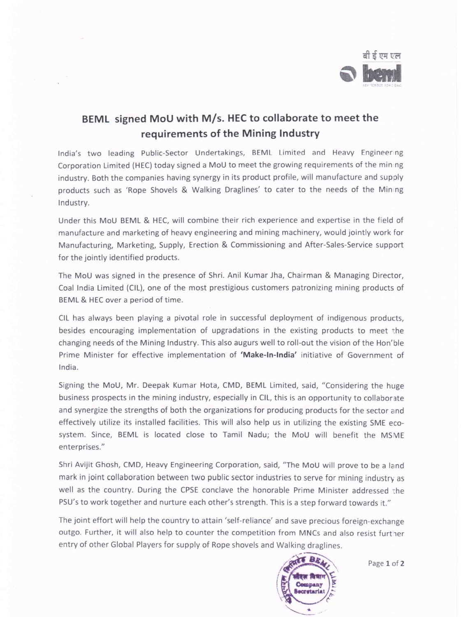

## BEML signed MoU with M/s. HEC to collaborate to meet the requirements of the Mining Industry

India's two leading Public-Sector Undertakings, BEML Limited and Heavy Engineer ng Corporation Limited (HEC) today signed <sup>a</sup> MoU to meet the growing requirements of the min ng industry. Both the companies having synergy in its product profile, will manufacture and supply products such as 'Rope Shovels & Walking Draglines' to cater to the needs of the Min ng Industry.

Under this MoU BEML & HEC, will combine their rich experience and expertise in the field of manufacture and marketing of heavy engineering and mining machinery, would jointly work for Manufacturing, Marketing, Supply, Erection 8i Commissioning and After-Sales-Service support for the jointly identified products.

The MoU was signed in the presence of Shri. Anil Kumar Jha, Chairman & Managing Director, Coal India Limited (CIL), one of the most prestigious customers patronizing mining products of BEML & HEC over <sup>a</sup> period of time.

CIL has always been playing <sup>a</sup> pivotal role in successful deployment of indigenous products, besides encouraging implementation of upgradations in the existing products to meet the changing needs of the Mining Industry. This also augurs well to roll-out the vision of the Hon'ble Prime Minister for effective implementation of 'Make-ln-lndia' initiative of Government of India.

Signing the MoU, Mr. Deepak Kumar Hota, CMD, BEML Limited, said, "Considering the huge business prospects in the mining industry, especially in CIL, this is an opportunity to collaborate and synergize the strengths of both the organizations for producing products for the sector and effectively utilize its installed facilities. This will also help us in utilizing the existing SME ecosystem. Since, BEML is located close to Tamil Nadu; the MoU will benefit the MSME enterprises."

Shri Avijit Ghosh, CMD, Heavy Engineering Corporation, said, "The MoU will prove to be <sup>a</sup> land mark in joint collaboration between two public sector industries to serve for mining industry as well as the country. During the CPSE conclave the honorable Prime Minister addressed the PSU's to work together and nurture each other's strength. This is <sup>a</sup> step forward towards it."

The joint effort will help the country to attain 'self-reliance' and save precious foreign-exchange outgo. Further, it will also help to counter the competition from MNCs and also resist further entry of other Global Players for supply of Rope shovels and Walking draglines.



Page <sup>1</sup> of 2